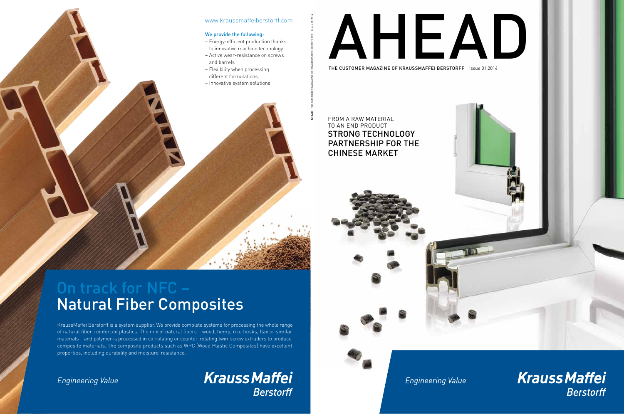

**Engineering Value** 

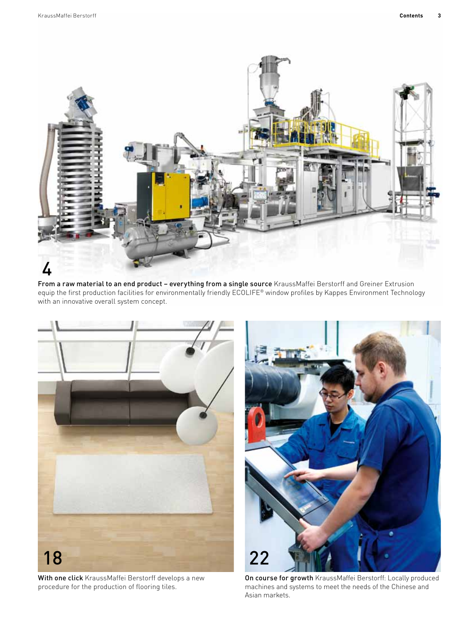

From a raw material to an end product – everything from a single source KraussMaffei Berstorff and Greiner Extrusion equip the first production facilities for environmentally friendly ECOLIFE® window profiles by Kappes Environment Technology with an innovative overall system concept.





With one click KraussMaffei Berstorff develops a new procedure for the production of flooring tiles.

On course for growth KraussMaffei Berstorff: Locally produced machines and systems to meet the needs of the Chinese and Asian markets.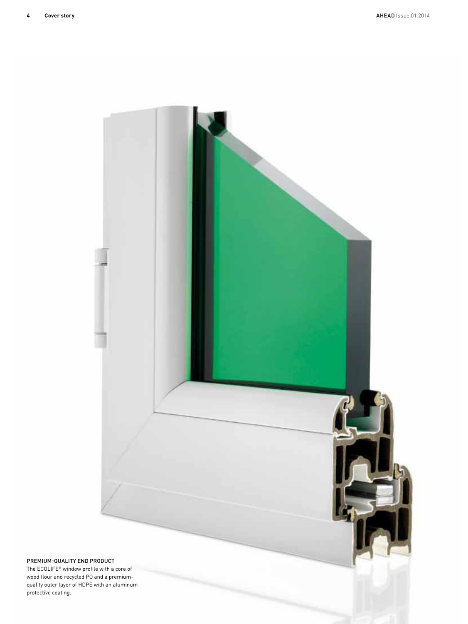

## Premium-quality end product

The ECOLIFE® window profile with a core of wood flour and recycled PO and a premiumquality outer layer of HDPE with an aluminum protective coating.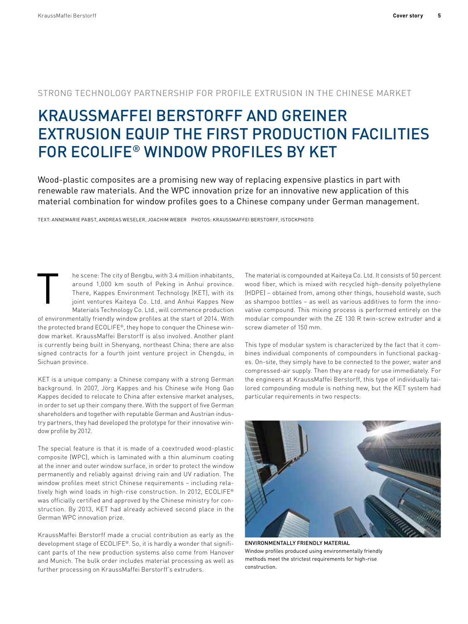## Strong technology partnership for profile extrusion in the Chinese market

# KraussMaffei Berstorff and Greiner Extrusion equip the first production facilities for ECOLIFE® window profiles by KET

Wood-plastic composites are a promising new way of replacing expensive plastics in part with renewable raw materials. And the WPC innovation prize for an innovative new application of this material combination for window profiles goes to a Chinese company under German management.

Text: Annemarie Pabst, Andreas Weseler, Joachim Weber Photos: KraussMaffei Berstorff, istockphoto

he scene: The city of Bengbu, with 3.4 million inhabitants, around 1,000 km south of Peking in Anhui province. There, Kappes Environment Technology (KET), with its joint ventures Kaiteya Co. Ltd. and Anhui Kappes New Materials Technology Co. Ltd., will commence production of environmentally friendly window profiles at the start of 2014. With the protected brand ECOLIFE®, they hope to conquer the Chinese window market. KraussMaffei Berstorff is also involved. Another plant is currently being built in Shenyang, northeast China; there are also signed contracts for a fourth joint venture project in Chengdu, in Sichuan province. T

KET is a unique company: a Chinese company with a strong German background. In 2007, Jörg Kappes and his Chinese wife Hong Gao Kappes decided to relocate to China after extensive market analyses, in order to set up their company there. With the support of five German shareholders and together with reputable German and Austrian industry partners, they had developed the prototype for their innovative window profile by 2012.

The special feature is that it is made of a coextruded wood-plastic composite (WPC), which is laminated with a thin aluminum coating at the inner and outer window surface, in order to protect the window permanently and reliably against driving rain and UV radiation. The window profiles meet strict Chinese requirements – including relatively high wind loads in high-rise construction. In 2012, ECOLIFE® was officially certified and approved by the Chinese ministry for construction. By 2013, KET had already achieved second place in the German WPC innovation prize.

KraussMaffei Berstorff made a crucial contribution as early as the development stage of ECOLIFE®. So, it is hardly a wonder that significant parts of the new production systems also come from Hanover and Munich. The bulk order includes material processing as well as further processing on KraussMaffei Berstorff's extruders.

The material is compounded at Kaiteya Co. Ltd. It consists of 50 percent wood fiber, which is mixed with recycled high-density polyethylene (HDPE) – obtained from, among other things, household waste, such as shampoo bottles – as well as various additives to form the innovative compound. This mixing process is performed entirely on the modular compounder with the ZE 130 R twin-screw extruder and a screw diameter of 150 mm.

This type of modular system is characterized by the fact that it combines individual components of compounders in functional packages. On-site, they simply have to be connected to the power, water and compressed-air supply. Then they are ready for use immediately. For the engineers at KraussMaffei Berstorff, this type of individually tailored compounding module is nothing new, but the KET system had particular requirements in two respects:



Environmentally friendly material Window profiles produced using environmentally friendly methods meet the strictest requirements for high-rise construction.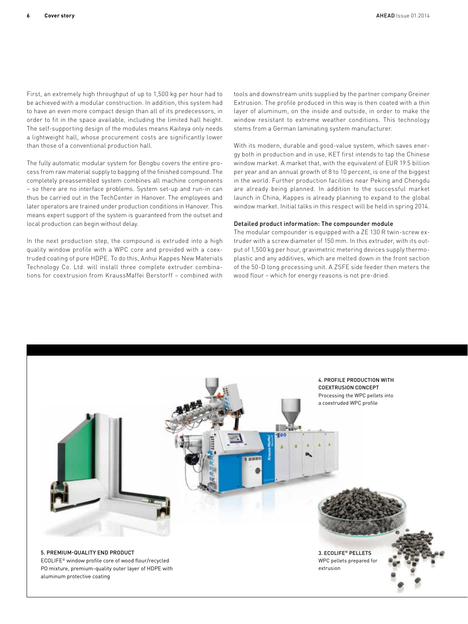First, an extremely high throughput of up to 1,500 kg per hour had to be achieved with a modular construction. In addition, this system had to have an even more compact design than all of its predecessors, in order to fit in the space available, including the limited hall height. The self-supporting design of the modules means Kaiteya only needs a lightweight hall, whose procurement costs are significantly lower than those of a conventional production hall.

The fully automatic modular system for Bengbu covers the entire process from raw material supply to bagging of the finished compound. The completely preassembled system combines all machine components – so there are no interface problems. System set-up and run-in can thus be carried out in the TechCenter in Hanover. The employees and later operators are trained under production conditions in Hanover. This means expert support of the system is guaranteed from the outset and local production can begin without delay.

In the next production step, the compound is extruded into a high quality window profile with a WPC core and provided with a coextruded coating of pure HDPE. To do this, Anhui Kappes New Materials Technology Co. Ltd. will install three complete extruder combinations for coextrusion from KraussMaffei Berstorff – combined with tools and downstream units supplied by the partner company Greiner Extrusion. The profile produced in this way is then coated with a thin layer of aluminum, on the inside and outside, in order to make the window resistant to extreme weather conditions. This technology stems from a German laminating system manufacturer.

With its modern, durable and good-value system, which saves energy both in production and in use, KET first intends to tap the Chinese window market. A market that, with the equivalent of EUR 19.5 billion per year and an annual growth of 8 to 10 percent, is one of the biggest in the world. Further production facilities near Peking and Chengdu are already being planned. In addition to the successful market launch in China, Kappes is already planning to expand to the global window market. Initial talks in this respect will be held in spring 2014.

### Detailed product information: The compounder module

The modular compounder is equipped with a ZE 130 R twin-screw extruder with a screw diameter of 150 mm. In this extruder, with its output of 1,500 kg per hour, gravimetric metering devices supply thermoplastic and any additives, which are melted down in the front section of the 50-D long processing unit. A ZSFE side feeder then meters the wood flour – which for energy reasons is not pre-dried.